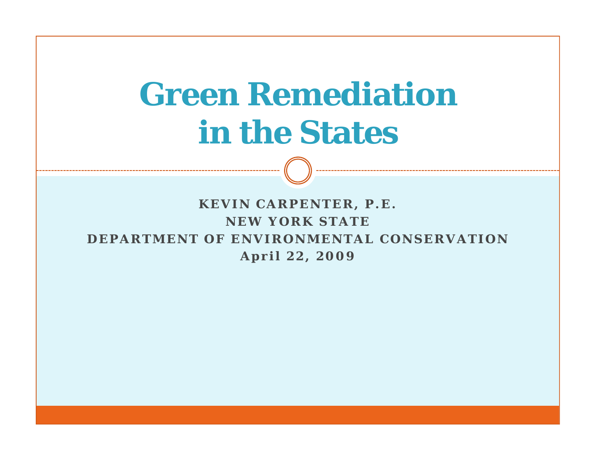# **G R di i Green Remediat ionin the States**

**KEVIN CARPENTER P E CARPENTER, . . NEW YORK STATEDEPARTMENT OF ENVIRONMENTAL CONSERVATIONApril 22, 2009**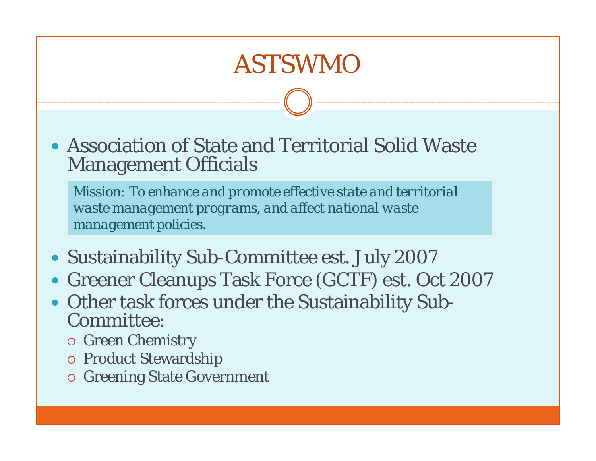### ASTSWMO

• Association of State and Territorial Solid Waste Management Officials

*Mission: To enhance and promote effective state and territorial waste management programs, and affect national waste management policies.*

- Sustainability Sub-Committee est. July 2007
- y Greener Cleanups Task Force (GCTF) est. Oct 2007
- Other task forces under the Sustainability Sub-<br>Committee: ommittee:
	- { Green Chemistry
	- { Product Stewardship
	- { Greening State Government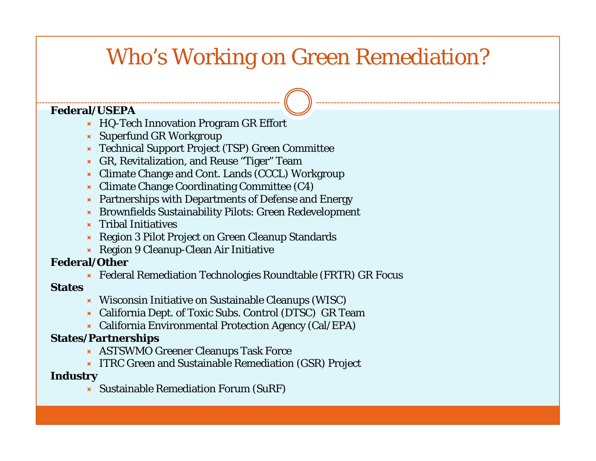### Who's Working on Green Remediation?

#### **Federal/USEPA**

- Ù HQ-Tech Innovation Program GR Effort
- $\blacktriangleright$  Superfund GR Workgroup
- Ù Technical Support Project (TSP) Green Committee
- Ù GR, Revitalization, and Reuse "Tiger" Team
- Ù Climate Change and Cont. Lands (CCCL) Workgroup
- $\blacktriangleright$  Climate Change Coordinating Committee (C4)
- $\blacktriangleright$  Partnerships with Departments of Defense and Energy
- Ù Brownfields Sustainability Pilots: Green Redevelopment
- $\blacktriangleright$  Tribal Initiatives
- Ù Region 3 Pilot Project on Green Cleanup Standards
- Ù Region 9 Cleanup-Clean Air Initiative

#### **F d l/O hederal/Other**

 $\star$  Federal Remediation Technologies Roundtable (FRTR) GR Focus

#### **States**

- $\blacktriangleright$  Wisconsin Initiative on Sustainable Cleanups (WISC)
- $\star$  California Dept. of Toxic Subs. Control (DTSC) GR Team
- $\star$  California Environmental Protection Agency (Cal/EPA)

#### **States/Partnerships**

- **X** ASTSWMO Greener Cleanups Task Force
- **EX** ITRC Green and Sustainable Remediation (GSR) Project

#### **Industry**

 $\blacktriangleright$  Sustainable Remediation Forum (SuRF)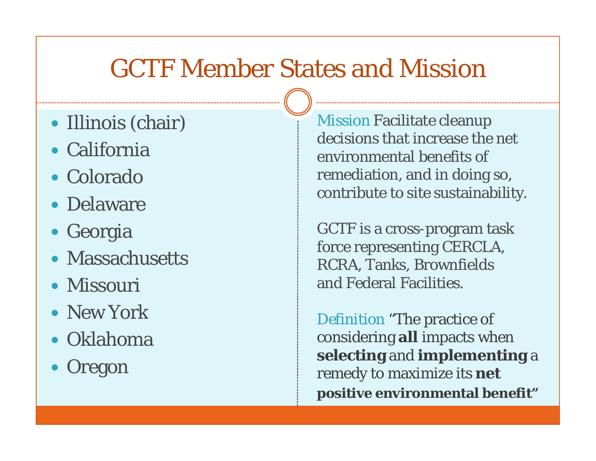### GCTF Member States and Mission

- Illinois (chair)
- $\bullet$  California
- Colorado
- Delaware
- Georgia
- Massachusetts
- Missouri
- New York
- Oklahoma
- $\bullet$ • Oregon

*Mission* Facilitate cleanup decisions that increase the net environmental benefits of remediation, and in doing so, contribute to site sustainabilit  $\bullet$  Delaware  $\bullet$  Contribute to site sustainability.

> GCTF is a cross-program task force representing CERCLA, RCRA, Tanks, Brownfields and Federal Facilities.

*Definition* "The practice of considering **all** impacts when **selecting** and **implementing** <sup>a</sup> remedy to maximize its **net positive environmental benefit** *"*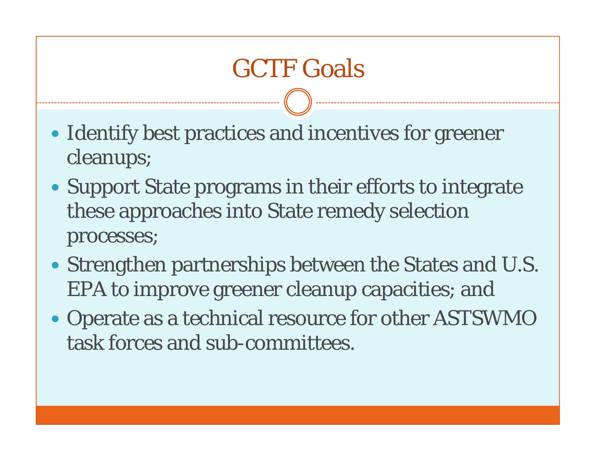## GCTF Goals

- Identify best practices and incentives for greener cleanups;
- Support State programs in their efforts to integrate these approaches into State remedy selection processes;
- Strengthen partnerships between the States and U.S. EPA to improve greener cleanup capacities; and
- Operate as a technical resource for other ASTSWMO task forces and sub-committees.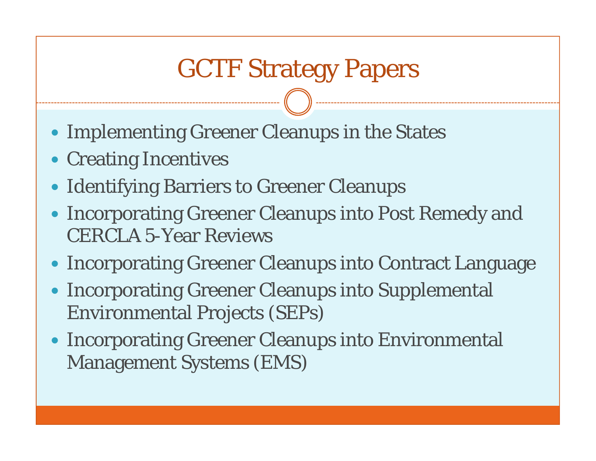## GCTF Strategy Papers

- Implementing Greener Cleanups in the States
- Creating Incentives
- Identifying Barriers to Greener Cleanups
- $\bullet$  Incorporating Greener Cleanups into Post Remedy and CERCLA 5-Year Reviews
- Incorporating Greener Cleanups into Contract Language
- $\bullet$  Incorporating Greener Cleanups into Supplemental Environmental Projects (SEPs)
- Incorporating Greener Cleanups into Environmental Management Systems (EMS)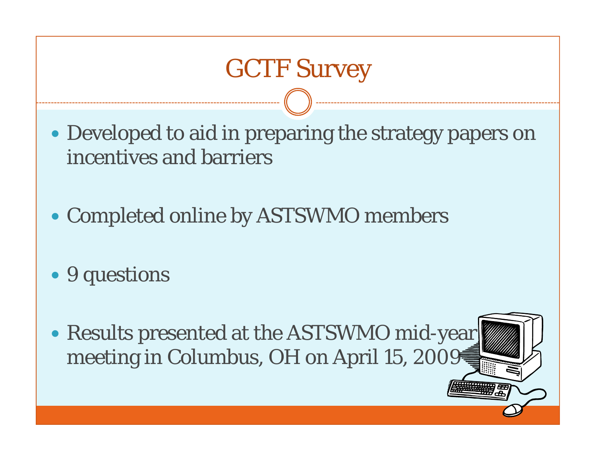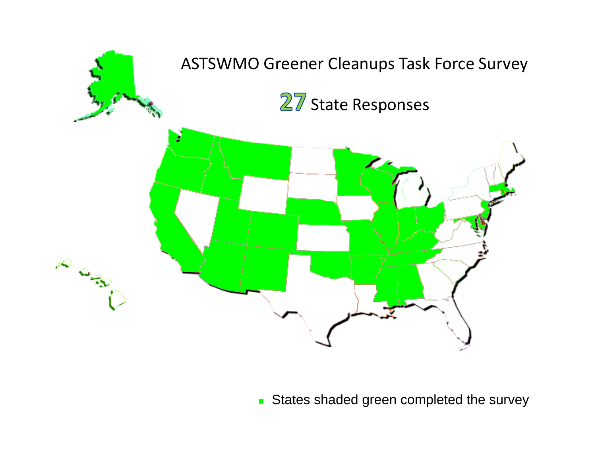

States shaded green completed the survey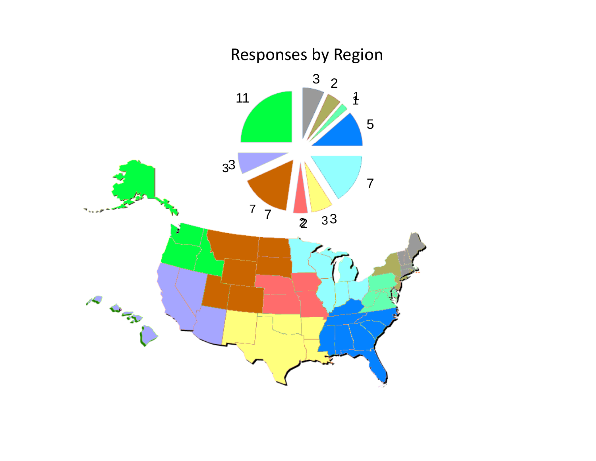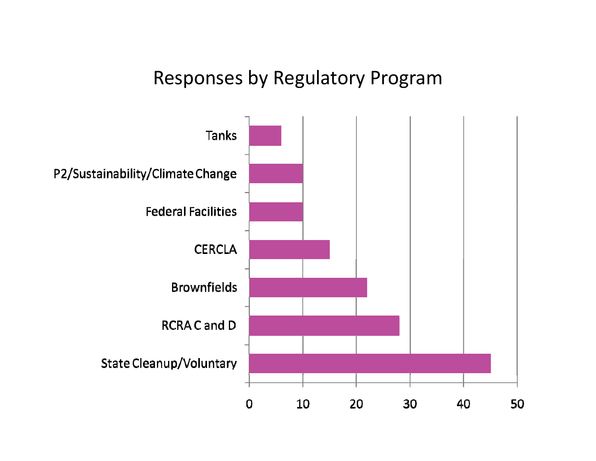### Responses by Regulatory Program

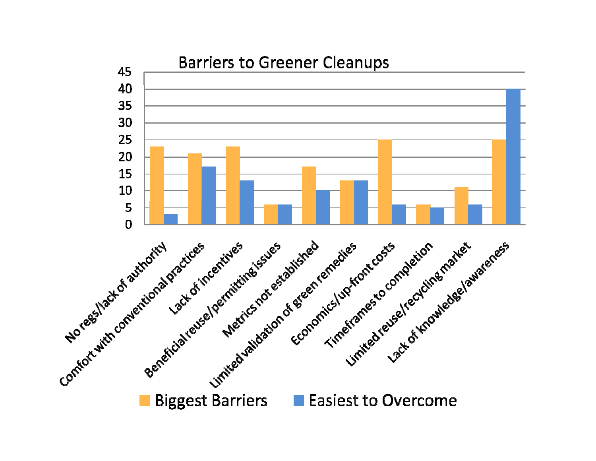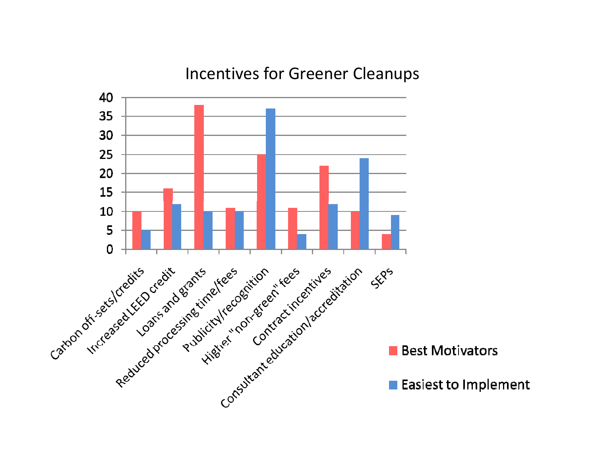### Incentives for Greener Cleanups

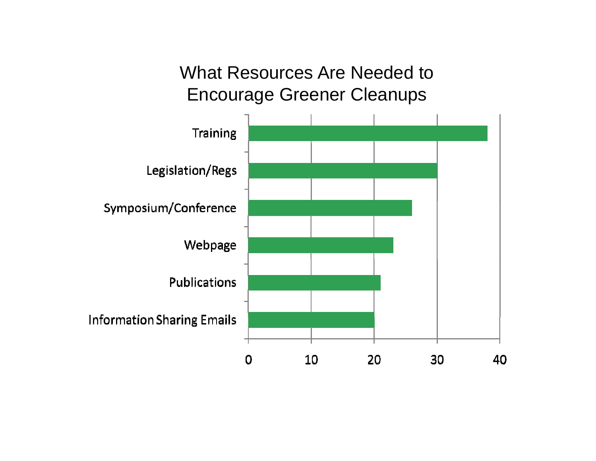What Resources Are Needed to Encourage Greener Cleanups